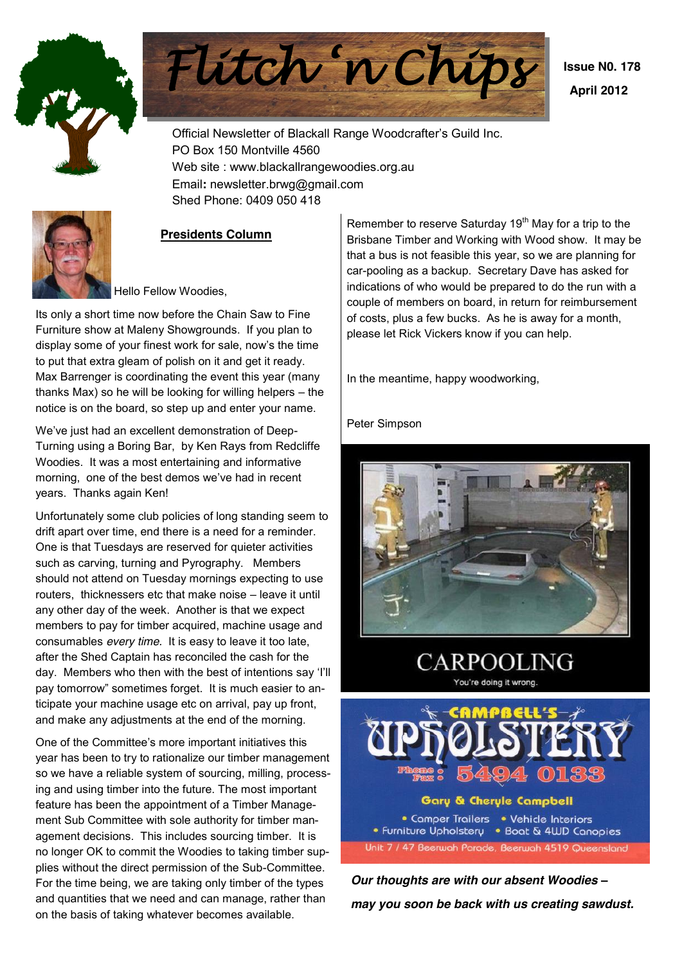



 **Issue N0. 178 April 2012**

Official Newsletter of Blackall Range Woodcrafter's Guild Inc. PO Box 150 Montville 4560 Web site : www.blackallrangewoodies.org.au Email**:** newsletter.brwg@gmail.com Shed Phone: 0409 050 418



#### **Presidents Column**

Hello Fellow Woodies,

Its only a short time now before the Chain Saw to Fine Furniture show at Maleny Showgrounds. If you plan to display some of your finest work for sale, now's the time to put that extra gleam of polish on it and get it ready. Max Barrenger is coordinating the event this year (many thanks Max) so he will be looking for willing helpers  $-$  the notice is on the board, so step up and enter your name.

We've just had an excellent demonstration of Deep-Turning using a Boring Bar, by Ken Rays from Redcliffe Woodies. It was a most entertaining and informative morning, one of the best demos we've had in recent years. Thanks again Ken!

Unfortunately some club policies of long standing seem to drift apart over time, end there is a need for a reminder. One is that Tuesdays are reserved for quieter activities such as carving, turning and Pyrography. Members should not attend on Tuesday mornings expecting to use routers, thicknessers etc that make noise - leave it until any other day of the week. Another is that we expect members to pay for timber acquired, machine usage and consumables *every time.* It is easy to leave it too late, after the Shed Captain has reconciled the cash for the day. Members who then with the best of intentions say 'I'll pay tomorrow" sometimes forget. It is much easier to anticipate your machine usage etc on arrival, pay up front, and make any adjustments at the end of the morning.

One of the Committee's more important initiatives this year has been to try to rationalize our timber management so we have a reliable system of sourcing, milling, processing and using timber into the future. The most important feature has been the appointment of a Timber Management Sub Committee with sole authority for timber management decisions. This includes sourcing timber. It is no longer OK to commit the Woodies to taking timber supplies without the direct permission of the Sub-Committee. For the time being, we are taking only timber of the types and quantities that we need and can manage, rather than on the basis of taking whatever becomes available.

Remember to reserve Saturday  $19<sup>th</sup>$  May for a trip to the Brisbane Timber and Working with Wood show. It may be that a bus is not feasible this year, so we are planning for car-pooling as a backup. Secretary Dave has asked for indications of who would be prepared to do the run with a couple of members on board, in return for reimbursement of costs, plus a few bucks. As he is away for a month, please let Rick Vickers know if you can help.

In the meantime, happy woodworking,

Peter Simpson





• Comper Trailers • Vehicle Interiors • Furniture Upholstery • Boat & 4WD Canopies Unit 7 / 47 Beerwah Parade, Beerwah 4519 Queensland

**Our thoughts are with our absent Woodies** *may you soon be back with us creating sawdust.*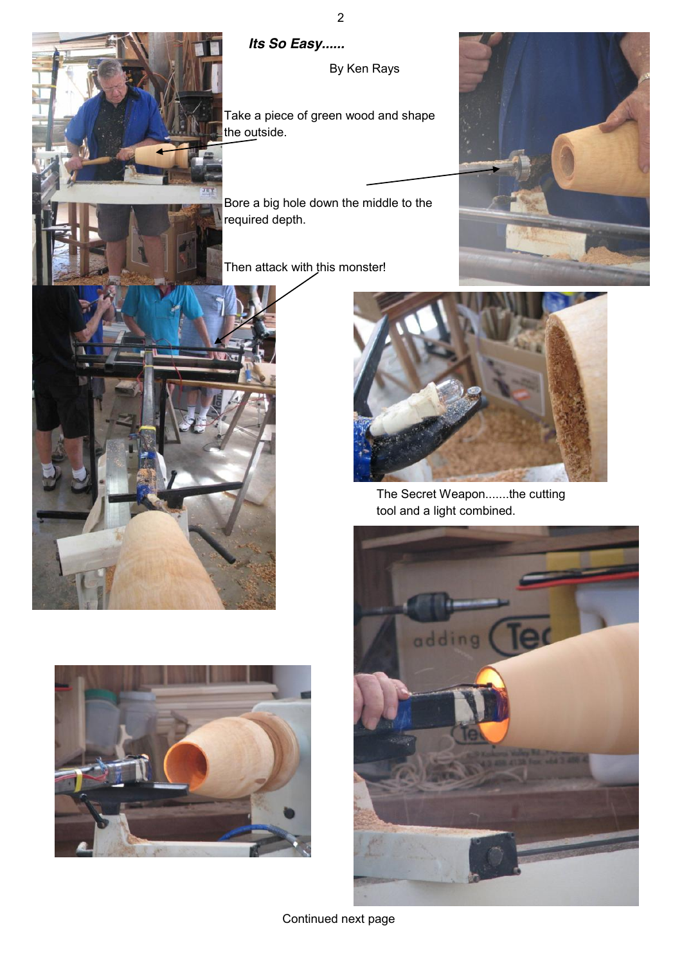

## *Its So Easy......*

By Ken Rays

Take a piece of green wood and shape the outside.

Bore a big hole down the middle to the required depth.

Then attack with this monster!









The Secret Weapon.......the cutting tool and a light combined.

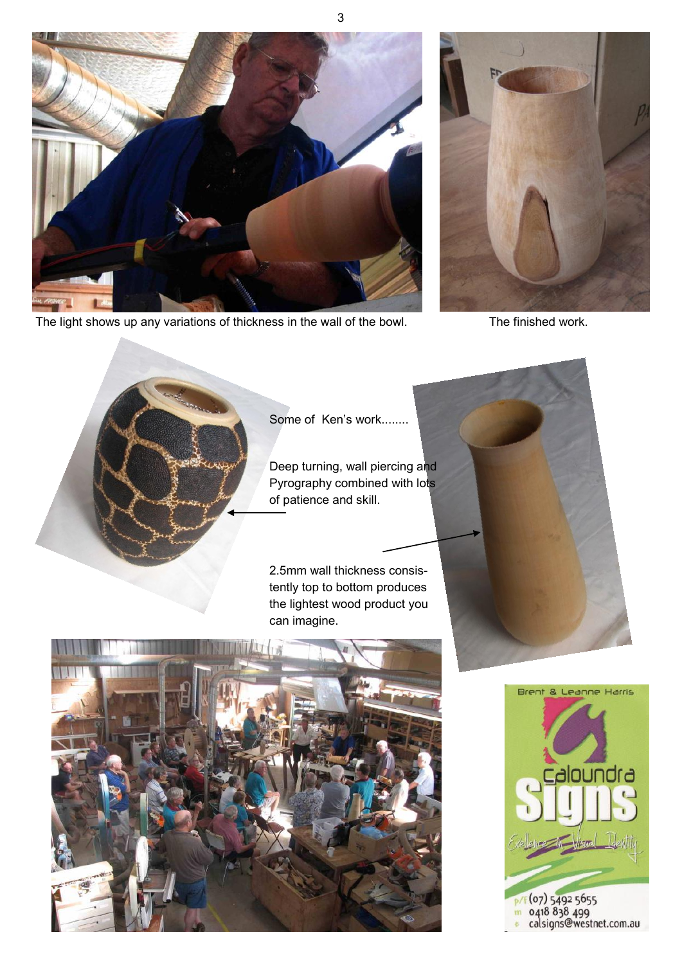

The light shows up any variations of thickness in the wall of the bowl. The finished work.





Some of Ken's work........

3

Deep turning, wall piercing and Pyrography combined with lots of patience and skill.

2.5mm wall thickness consistently top to bottom produces the lightest wood product you can imagine.



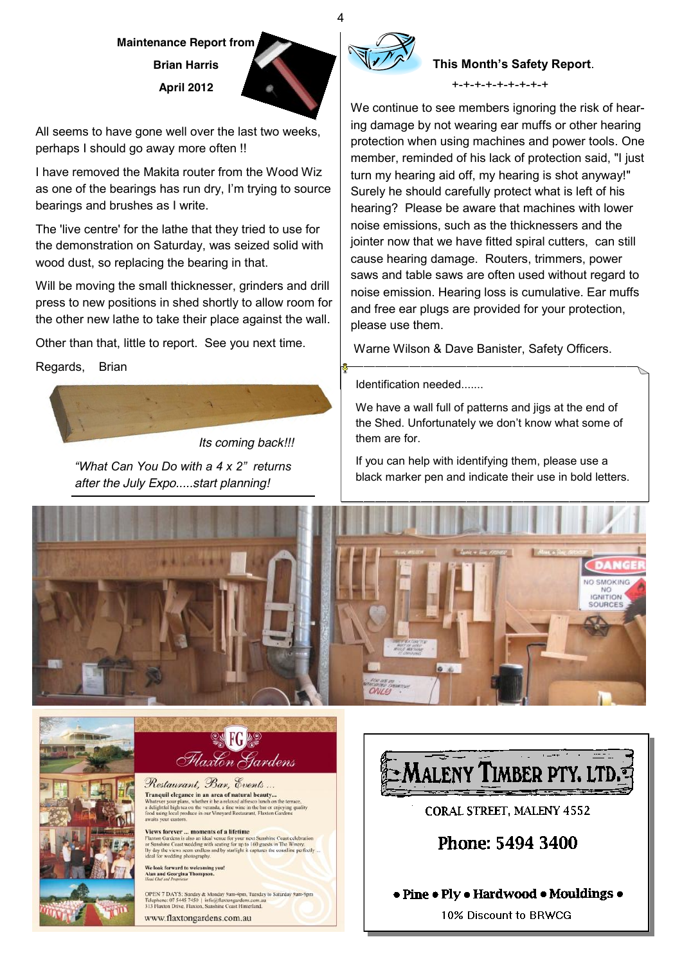# **Maintenance Report from Brian Harris April 2012**

All seems to have gone well over the last two weeks, perhaps I should go away more often !!

I have removed the Makita router from the Wood Wiz as one of the bearings has run dry, I'm trying to source bearings and brushes as I write.

The 'live centre' for the lathe that they tried to use for the demonstration on Saturday, was seized solid with wood dust, so replacing the bearing in that.

Will be moving the small thicknesser, grinders and drill press to new positions in shed shortly to allow room for the other new lathe to take their place against the wall.

Other than that, little to report. See you next time.

Regards, Brian

*Its coming back!!! a*What Can You Do with a 4 x 2" returns *after the July Expo.....start planning!*



## **This Month's Safety Report.**

+-+-+-+-+-+-+-+-+

We continue to see members ignoring the risk of hearing damage by not wearing ear muffs or other hearing protection when using machines and power tools. One member, reminded of his lack of protection said, "I just turn my hearing aid off, my hearing is shot anyway!" Surely he should carefully protect what is left of his hearing? Please be aware that machines with lower noise emissions, such as the thicknessers and the jointer now that we have fitted spiral cutters, can still cause hearing damage. Routers, trimmers, power saws and table saws are often used without regard to noise emission. Hearing loss is cumulative. Ear muffs and free ear plugs are provided for your protection, please use them.

Warne Wilson & Dave Banister, Safety Officers.

Identification needed.......

We have a wall full of patterns and jigs at the end of the Shed. Unfortunately we don't know what some of them are for.

If you can help with identifying them, please use a black marker pen and indicate their use in bold letters.





**SK FG &S** Flaxton Gardens

Restaurant, Bar, Events... Tranquil elegance in an area of natural beauty... **Franquire eter and an area or natural beauty...**<br>Whatever your plans, whether it be a relaxed alfresco lunch on the terrace,<br>delightful high tea on the veranda, a fine wine in the bar or enjoying quality<br>lood using local

**Views forever ... moments of a lifetime**<br>Flaxton Gardens is also an ideal venue for your next Sunshine Coast celebration<br>or Sunshine Coast wedding with scating for up to 160 guests in The Winery.<br>By day the views seem end wedding photograph

.<br>We look forward to welcoming you!<br>Alan and Georgina Thompson.

OPEN 7 DAYS: Sunday & Monday 9am-4pm, Tuesday to Saturday 9am-9pm<br>Telephone: 07 5445 7450 | info@flaxtongardens.com.au<br>313 Flaxton Drive, Flaxton, Sunshine Coast Hinterland.

www.flaxtongardens.com.au



CORAL STREET, MALENY 4552

Phone: 5494 3400

## • Pine • Ply • Hardwood • Mouldings •

10% Discount to BRWCG

4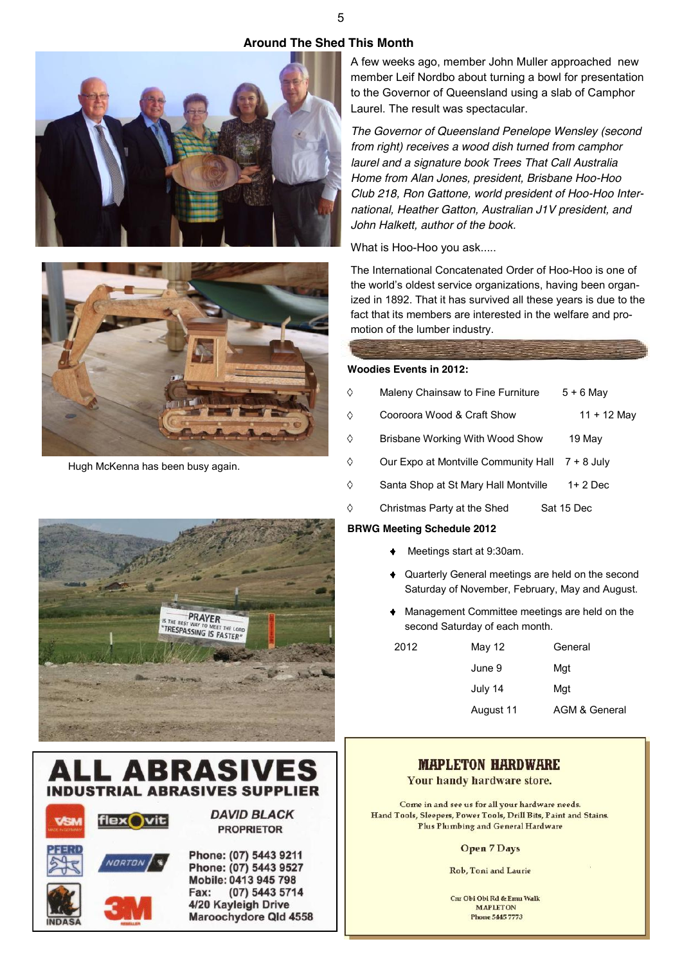#### **Around The Shed This Month**





Hugh McKenna has been busy again.

A few weeks ago, member John Muller approached new member Leif Nordbo about turning a bowl for presentation to the Governor of Queensland using a slab of Camphor Laurel. The result was spectacular.

*The Governor of Queensland Penelope Wensley (second from right) receives a wood dish turned from camphor laurel and a signature book Trees That Call Australia Home from Alan Jones, president, Brisbane Hoo-Hoo Club 218, Ron Gattone, world president of Hoo-Hoo International, Heather Gatton, Australian J1V president, and John Halkett, author of the book.*

What is Hoo-Hoo you ask.....

The International Concatenated Order of Hoo-Hoo is one of the world's oldest service organizations, having been organized in 1892. That it has survived all these years is due to the fact that its members are interested in the welfare and promotion of the lumber industry.

#### **Woodies Events in 2012:**

- ♦ Maleny Chainsaw to Fine Furniture  $5 + 6$  May Ò Cooroora Wood & Craft Show 11 + 12 May
- Ò Brisbane Working With Wood Show 19 May
- $\Diamond$ Our Expo at Montville Community Hall 7 + 8 July
- $\Diamond$ Santa Shop at St Mary Hall Montville 1+ 2 Dec
- $\Diamond$ Christmas Party at the Shed Sat 15 Dec

#### **BRWG Meeting Schedule 2012**

- Meetings start at 9:30am.
- Quarterly General meetings are held on the second Saturday of November, February, May and August.
- Management Committee meetings are held on the second Saturday of each month.

| 2012 | May 12    | General       |  |  |  |
|------|-----------|---------------|--|--|--|
|      | June 9    | Mgt           |  |  |  |
|      | July 14   | Mgt           |  |  |  |
|      | August 11 | AGM & General |  |  |  |

## **MAPLETON HARDWARE**

Your handy hardware store.

Come in and see us for all your hardware needs. Hand Tools, Sleepers, Power Tools, Drill Bits, Paint and Stains. Plus Plumbing and General Hardware

**Open 7 Days** 

Rob, Toni and Laurie

Cur Obi Obi Rd & Emu Walk **MAPLETON Phone 5445 7773** 

# PRAYER 5 THE RECY **TRESPASSING IS FASTER**



VODTA

Phone: (07) 5443 9211 Phone: (07) 5443 9527 Mobile: 0413 945 798 (07) 5443 5714 Fax: 4/20 Kayleigh Drive Maroochydore Qld 4558